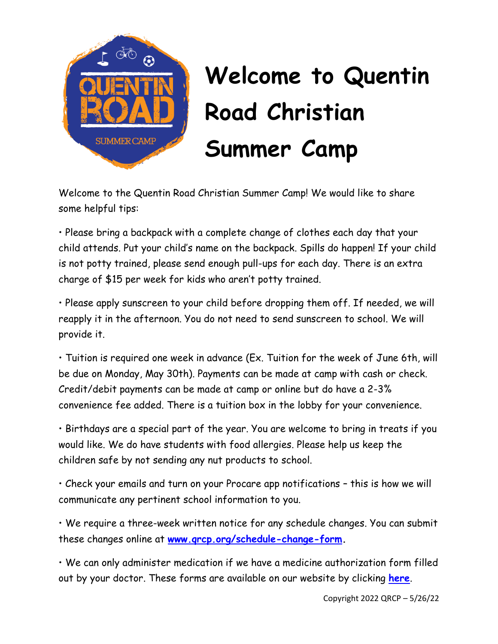

## **Welcome to Quentin Road Christian Summer Camp**

Welcome to the Quentin Road Christian Summer Camp! We would like to share some helpful tips:

• Please bring a backpack with a complete change of clothes each day that your child attends. Put your child's name on the backpack. Spills do happen! If your child is not potty trained, please send enough pull-ups for each day. There is an extra charge of \$15 per week for kids who aren't potty trained.

• Please apply sunscreen to your child before dropping them off. If needed, we will reapply it in the afternoon. You do not need to send sunscreen to school. We will provide it.

• Tuition is required one week in advance (Ex. Tuition for the week of June 6th, will be due on Monday, May 30th). Payments can be made at camp with cash or check. Credit/debit payments can be made at camp or online but do have a 2-3% convenience fee added. There is a tuition box in the lobby for your convenience.

• Birthdays are a special part of the year. You are welcome to bring in treats if you would like. We do have students with food allergies. Please help us keep the children safe by not sending any nut products to school.

• Check your emails and turn on your Procare app notifications – this is how we will communicate any pertinent school information to you.

• We require a three-week written notice for any schedule changes. You can submit these changes online at **[www.qrcp.org/schedule-change-form.](http://www.qrcp.org/schedule-change-form)**

• We can only administer medication if we have a medicine authorization form filled out by your doctor. These forms are available on our website by clicking **[here](https://0201.nccdn.net/1_2/000/000/114/744/school-medication-authorization-form.pdf)**.